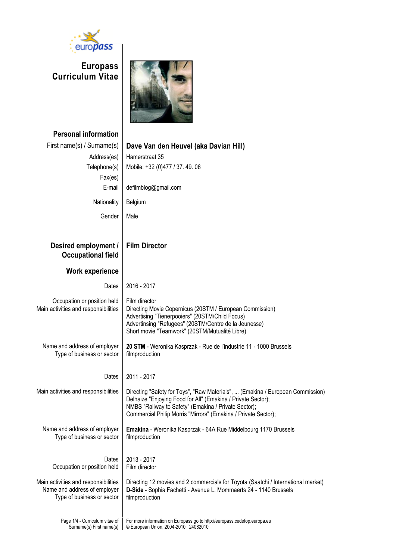

**Europass Curriculum Vitae**



| <b>Personal information</b>                                                                        |                                                                                                                                                                                                                                                                          |  |  |  |
|----------------------------------------------------------------------------------------------------|--------------------------------------------------------------------------------------------------------------------------------------------------------------------------------------------------------------------------------------------------------------------------|--|--|--|
| First name(s) / Surname(s)                                                                         | Dave Van den Heuvel (aka Davian Hill)                                                                                                                                                                                                                                    |  |  |  |
| Address(es)                                                                                        | Hamerstraat 35                                                                                                                                                                                                                                                           |  |  |  |
| Telephone(s)                                                                                       | Mobile: +32 (0)477 / 37.49.06                                                                                                                                                                                                                                            |  |  |  |
| Fax(es)                                                                                            |                                                                                                                                                                                                                                                                          |  |  |  |
| E-mail                                                                                             | defilmblog@gmail.com                                                                                                                                                                                                                                                     |  |  |  |
| Nationality                                                                                        | Belgium                                                                                                                                                                                                                                                                  |  |  |  |
| Gender                                                                                             | Male                                                                                                                                                                                                                                                                     |  |  |  |
|                                                                                                    |                                                                                                                                                                                                                                                                          |  |  |  |
| Desired employment /<br><b>Occupational field</b>                                                  | <b>Film Director</b>                                                                                                                                                                                                                                                     |  |  |  |
| <b>Work experience</b>                                                                             |                                                                                                                                                                                                                                                                          |  |  |  |
| Dates                                                                                              | 2016 - 2017                                                                                                                                                                                                                                                              |  |  |  |
| Occupation or position held<br>Main activities and responsibilities                                | Film director<br>Directing Movie Copernicus (20STM / European Commission)<br>Advertising "Tienerpooiers" (20STM/Child Focus)<br>Advertinsing "Refugees" (20STM/Centre de la Jeunesse)<br>Short movie "Teamwork" (20STM/Mutualité Libre)                                  |  |  |  |
| Name and address of employer<br>Type of business or sector                                         | 20 STM - Weronika Kasprzak - Rue de l'industrie 11 - 1000 Brussels<br>filmproduction                                                                                                                                                                                     |  |  |  |
| Dates                                                                                              | 2011 - 2017                                                                                                                                                                                                                                                              |  |  |  |
| Main activities and responsibilities                                                               | Directing "Safety for Toys", "Raw Materials",  (Emakina / European Commission)<br>Delhaize "Enjoying Food for All" (Emakina / Private Sector);<br>NMBS "Railway to Safety" (Emakina / Private Sector);<br>Commercial Philip Morris "Mirrors" (Emakina / Private Sector); |  |  |  |
| Name and address of employer<br>Type of business or sector                                         | Emakina - Weronika Kasprzak - 64A Rue Middelbourg 1170 Brussels<br>filmproduction                                                                                                                                                                                        |  |  |  |
| Dates<br>Occupation or position held                                                               | 2013 - 2017<br>Film director                                                                                                                                                                                                                                             |  |  |  |
| Main activities and responsibilities<br>Name and address of employer<br>Type of business or sector | Directing 12 movies and 2 commercials for Toyota (Saatchi / International market)<br>D-Side - Sophia Fachetti - Avenue L. Mommaerts 24 - 1140 Brussels<br>filmproduction                                                                                                 |  |  |  |
| Page 1/4 - Curriculum vitae of<br>Surname(s) First name(s)                                         | For more information on Europass go to http://europass.cedefop.europa.eu<br>© European Union, 2004-2010 24082010                                                                                                                                                         |  |  |  |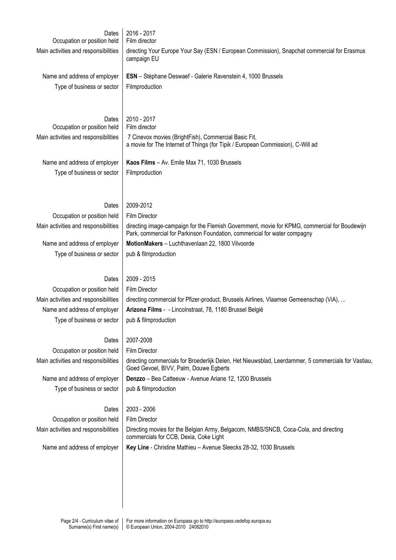| Dates<br>Occupation or position held<br>Main activities and responsibilities                                                               | 2016 - 2017<br>Film director<br>directing Your Europe Your Say (ESN / European Commission), Snapchat commercial for Erasmus                                                                                                                                                                 |  |  |  |  |  |
|--------------------------------------------------------------------------------------------------------------------------------------------|---------------------------------------------------------------------------------------------------------------------------------------------------------------------------------------------------------------------------------------------------------------------------------------------|--|--|--|--|--|
| Name and address of employer<br>Type of business or sector                                                                                 | campaign EU<br>ESN - Stéphane Deswaef - Galerie Ravenstein 4, 1000 Brussels<br>Filmproduction                                                                                                                                                                                               |  |  |  |  |  |
| Dates<br>Occupation or position held<br>Main activities and responsibilities<br>Name and address of employer<br>Type of business or sector | 2010 - 2017<br>Film director<br>7 Cinevox movies (BrightFish), Commercial Basic Fit,<br>a movie for The Internet of Things (for Tipik / European Commission), C-Will ad<br>Kaos Films - Av. Emile Max 71, 1030 Brussels<br>Filmproduction                                                   |  |  |  |  |  |
| Dates<br>Occupation or position held<br>Main activities and responsibilities<br>Name and address of employer<br>Type of business or sector | 2009-2012<br><b>Film Director</b><br>directing image-campaign for the Flemish Government, movie for KPMG, commercial for Boudewijn<br>Park, commercial for Parkinson Foundation, commericial for water compagny<br>MotionMakers - Luchthavenlaan 22, 1800 Vilvoorde<br>pub & filmproduction |  |  |  |  |  |
| Dates<br>Occupation or position held<br>Main activities and responsibilities<br>Name and address of employer<br>Type of business or sector | 2009 - 2015<br><b>Film Director</b><br>directing commercial for Pfizer-product, Brussels Airlines, Vlaamse Gemeenschap (ViA),<br>Arizona Films - - Lincolnstraat, 78, 1180 Brussel België<br>pub & filmproduction                                                                           |  |  |  |  |  |
| Dates<br>Occupation or position held<br>Main activities and responsibilities<br>Name and address of employer<br>Type of business or sector | 2007-2008<br>Film Director<br>directing commercials for Broederlijk Delen, Het Nieuwsblad, Leerdammer, 5 commercials for Vastiau,<br>Goed Gevoel, BIVV, Palm, Douwe Egberts<br>Denzzo - Bea Catteeuw - Avenue Ariane 12, 1200 Brussels<br>pub & filmproduction                              |  |  |  |  |  |
| Dates<br>Occupation or position held<br>Main activities and responsibilities<br>Name and address of employer                               | 2003 - 2006<br><b>Film Director</b><br>Directing movies for the Belgian Army, Belgacom, NMBS/SNCB, Coca-Cola, and directing<br>commercials for CCB, Dexia, Coke Light<br>Key Line - Christine Mathieu - Avenue Sleecks 28-32, 1030 Brussels                                                 |  |  |  |  |  |
|                                                                                                                                            |                                                                                                                                                                                                                                                                                             |  |  |  |  |  |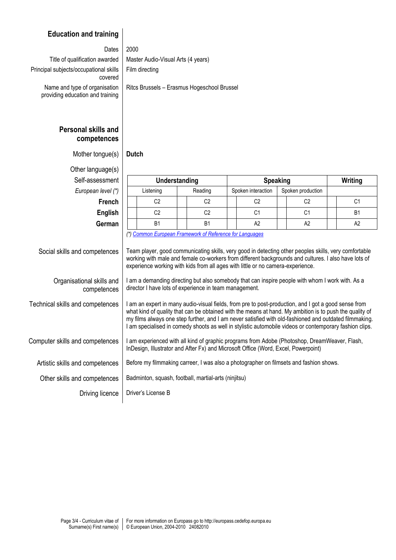## **Education and training**

#### Dates  $2000$

Principal subjects/occupational skills covered Name and type of organisation providing education and training

Title of qualification awarded  $\parallel$  Master Audio-Visual Arts (4 years) Film directing

Ritcs Brussels – Erasmus Hogeschool Brussel

### **Personal skills and competences**

Mother tongue(s) **Dutch** 

| Other language(s)                        |                                                                                                                                                                                                                                                                                                                                                                                                                                      |                |  |                    |                   |                |  |  |  |  |
|------------------------------------------|--------------------------------------------------------------------------------------------------------------------------------------------------------------------------------------------------------------------------------------------------------------------------------------------------------------------------------------------------------------------------------------------------------------------------------------|----------------|--|--------------------|-------------------|----------------|--|--|--|--|
| Self-assessment                          | Understanding                                                                                                                                                                                                                                                                                                                                                                                                                        |                |  | <b>Speaking</b>    | Writing           |                |  |  |  |  |
| European level (*)                       | Listening                                                                                                                                                                                                                                                                                                                                                                                                                            | Reading        |  | Spoken interaction | Spoken production |                |  |  |  |  |
| <b>French</b>                            | C <sub>2</sub>                                                                                                                                                                                                                                                                                                                                                                                                                       | C <sub>2</sub> |  | C <sub>2</sub>     | C <sub>2</sub>    | C <sub>1</sub> |  |  |  |  |
| <b>English</b>                           | C <sub>2</sub>                                                                                                                                                                                                                                                                                                                                                                                                                       | C <sub>2</sub> |  | C <sub>1</sub>     | C <sub>1</sub>    | <b>B1</b>      |  |  |  |  |
| German                                   | B <sub>1</sub>                                                                                                                                                                                                                                                                                                                                                                                                                       | <b>B1</b>      |  | A2                 | A2                | A <sub>2</sub> |  |  |  |  |
| Social skills and competences            | (*) Common European Framework of Reference for Languages<br>Team player, good communicating skills, very good in detecting other peoples skills, very comfortable<br>working with male and female co-workers from different backgrounds and cultures. I also have lots of<br>experience working with kids from all ages with little or no camera-experience.                                                                         |                |  |                    |                   |                |  |  |  |  |
| Organisational skills and<br>competences | I am a demanding directing but also somebody that can inspire people with whom I work with. As a<br>director I have lots of experience in team management.                                                                                                                                                                                                                                                                           |                |  |                    |                   |                |  |  |  |  |
| Technical skills and competences         | I am an expert in many audio-visual fields, from pre to post-production, and I got a good sense from<br>what kind of quality that can be obtained with the means at hand. My ambition is to push the quality of<br>my films always one step further, and I am never satisfied with old-fashioned and outdated filmmaking.<br>I am specialised in comedy shoots as well in stylistic automobile videos or contemporary fashion clips. |                |  |                    |                   |                |  |  |  |  |
| Computer skills and competences          | I am experienced with all kind of graphic programs from Adobe (Photoshop, DreamWeaver, Flash,<br>InDesign, Illustrator and After Fx) and Microsoft Office (Word, Excel, Powerpoint)                                                                                                                                                                                                                                                  |                |  |                    |                   |                |  |  |  |  |
| Artistic skills and competences          | Before my filmmaking carreer, I was also a photographer on filmsets and fashion shows.                                                                                                                                                                                                                                                                                                                                               |                |  |                    |                   |                |  |  |  |  |
| Other skills and competences             | Badminton, squash, football, martial-arts (ninjitsu)                                                                                                                                                                                                                                                                                                                                                                                 |                |  |                    |                   |                |  |  |  |  |
| Driving licence                          | Driver's License B                                                                                                                                                                                                                                                                                                                                                                                                                   |                |  |                    |                   |                |  |  |  |  |